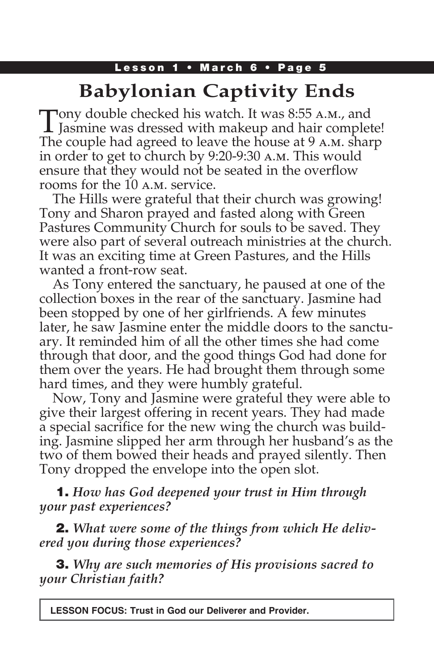### Lesson 1 • March 6 • Page 5

# **Babylonian Captivity Ends**

Tony double checked his watch. It was 8:55 A.M., and<br>Jasmine was dressed with makeup and hair complete! The couple had agreed to leave the house at 9 a.m. sharp in order to get to church by 9:20-9:30 a.m. This would ensure that they would not be seated in the overflow rooms for the 10 a.m. service.

The Hills were grateful that their church was growing! Tony and Sharon prayed and fasted along with Green Pastures Community Church for souls to be saved. They were also part of several outreach ministries at the church. It was an exciting time at Green Pastures, and the Hills wanted a front-row seat.

As Tony entered the sanctuary, he paused at one of the collection boxes in the rear of the sanctuary. Jasmine had been stopped by one of her girlfriends. A few minutes later, he saw Jasmine enter the middle doors to the sanctuary. It reminded him of all the other times she had come through that door, and the good things God had done for them over the years. He had brought them through some hard times, and they were humbly grateful.

Now, Tony and Jasmine were grateful they were able to give their largest offering in recent years. They had made a special sacrifice for the new wing the church was building. Jasmine slipped her arm through her husband's as the two of them bowed their heads and prayed silently. Then Tony dropped the envelope into the open slot.

### 1. *How has God deepened your trust in Him through your past experiences?*

2. *What were some of the things from which He delivered you during those experiences?*

3. *Why are such memories of His provisions sacred to your Christian faith?*

**LESSON FOCUS: Trust in God our Deliverer and Provider.**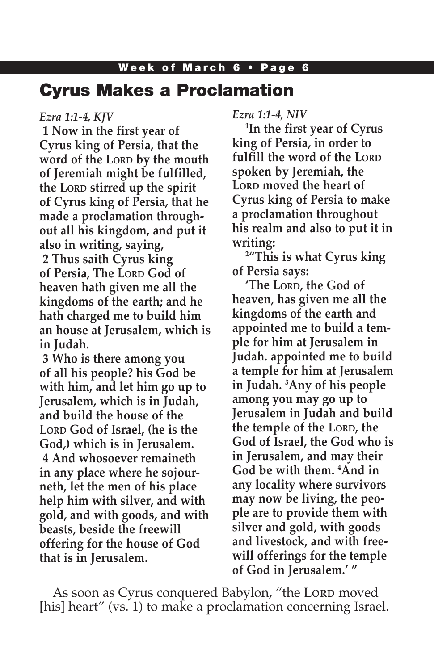## Cyrus Makes a Proclamation

#### *Ezra 1:1-4, KJV*

**1 Now in the first year of Cyrus king of Persia, that the word of the Lord by the mouth of Jeremiah might be fulfilled, the LORD stirred up the spirit of Cyrus king of Persia, that he made a proclamation throughout all his kingdom, and put it also in writing, saying, 2 Thus saith Cyrus king of Persia, The LORD God of heaven hath given me all the kingdoms of the earth; and he hath charged me to build him an house at Jerusalem, which is in Judah.**

**3 Who is there among you of all his people? his God be with him, and let him go up to Jerusalem, which is in Judah, and build the house of the**  LORD God of Israel, (he is the **God,) which is in Jerusalem. 4 And whosoever remaineth in any place where he sojourneth, let the men of his place help him with silver, and with gold, and with goods, and with beasts, beside the freewill offering for the house of God that is in Jerusalem.**

*Ezra 1:1-4, NIV*

**1 In the first year of Cyrus king of Persia, in order to fulfill the word of the Lord spoken by Jeremiah, the L**ORD **moved** the heart of **Cyrus king of Persia to make a proclamation throughout his realm and also to put it in writing:**

**2 "This is what Cyrus king of Persia says:**

**'The Lord, the God of heaven, has given me all the kingdoms of the earth and appointed me to build a temple for him at Jerusalem in Judah. appointed me to build a temple for him at Jerusalem in Judah. 3 Any of his people among you may go up to Jerusalem in Judah and build the temple of the LORD, the God of Israel, the God who is in Jerusalem, and may their God be with them. 4 And in any locality where survivors may now be living, the people are to provide them with silver and gold, with goods and livestock, and with freewill offerings for the temple of God in Jerusalem.' "**

As soon as Cyrus conquered Babylon, "the Lord moved [his] heart" (vs. 1) to make a proclamation concerning Israel.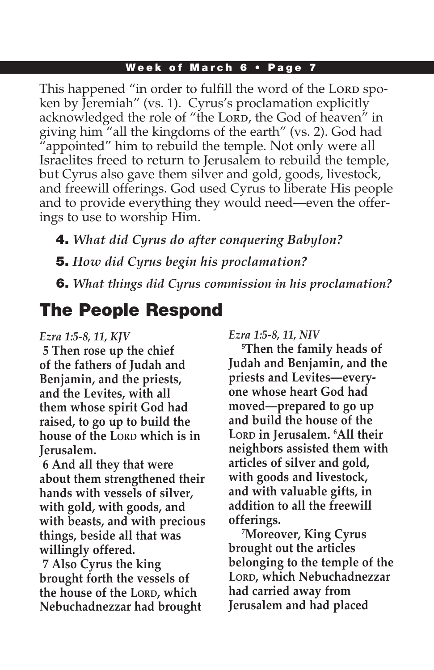This happened "in order to fulfill the word of the Lord spoken by Jeremiah" (vs. 1). Cyrus's proclamation explicitly acknowledged the role of "the Lorp, the God of heaven" in giving him "all the kingdoms of the earth" (vs. 2). God had "appointed" him to rebuild the temple. Not only were all Israelites freed to return to Jerusalem to rebuild the temple, but Cyrus also gave them silver and gold, goods, livestock, and freewill offerings. God used Cyrus to liberate His people and to provide everything they would need—even the offerings to use to worship Him.

4. *What did Cyrus do after conquering Babylon?*  5. *How did Cyrus begin his proclamation?*

6. *What things did Cyrus commission in his proclamation?*

# The People Respond

#### *Ezra 1:5-8, 11, KJV*

**5 Then rose up the chief of the fathers of Judah and Benjamin, and the priests, and the Levites, with all them whose spirit God had raised, to go up to build the house of the LORD which is in Jerusalem.**

**6 And all they that were about them strengthened their hands with vessels of silver, with gold, with goods, and with beasts, and with precious things, beside all that was willingly offered.**

**7 Also Cyrus the king brought forth the vessels of the house of the LORD, which Nebuchadnezzar had brought**  *Ezra 1:5-8, 11, NIV*

**5 Then the family heads of Judah and Benjamin, and the priests and Levites—everyone whose heart God had moved—prepared to go up and build the house of the Lord in Jerusalem. 6 All their neighbors assisted them with articles of silver and gold, with goods and livestock, and with valuable gifts, in addition to all the freewill offerings.**

**7 Moreover, King Cyrus brought out the articles belonging to the temple of the Lord, which Nebuchadnezzar had carried away from Jerusalem and had placed**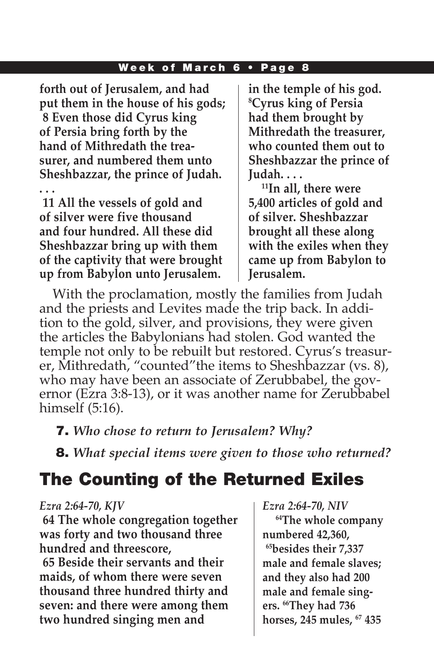**forth out of Jerusalem, and had put them in the house of his gods; 8 Even those did Cyrus king of Persia bring forth by the hand of Mithredath the treasurer, and numbered them unto Sheshbazzar, the prince of Judah.** 

**. . . 11 All the vessels of gold and of silver were five thousand and four hundred. All these did Sheshbazzar bring up with them of the captivity that were brought up from Babylon unto Jerusalem.**

**in the temple of his god. 8 Cyrus king of Persia had them brought by Mithredath the treasurer, who counted them out to Sheshbazzar the prince of Judah. . . .**

**11In all, there were 5,400 articles of gold and of silver. Sheshbazzar brought all these along with the exiles when they came up from Babylon to Jerusalem.**

With the proclamation, mostly the families from Judah and the priests and Levites made the trip back. In addition to the gold, silver, and provisions, they were given the articles the Babylonians had stolen. God wanted the temple not only to be rebuilt but restored. Cyrus's treasurer, Mithredath, "counted"the items to Sheshbazzar (vs. 8), who may have been an associate of Zerubbabel, the governor (Ezra 3:8-13), or it was another name for Zerubbabel himself (5:16).

### 7. *Who chose to return to Jerusalem? Why?*

8. *What special items were given to those who returned?*

## The Counting of the Returned Exiles

#### *Ezra 2:64-70, KJV*

**64 The whole congregation together was forty and two thousand three hundred and threescore,**

**65 Beside their servants and their maids, of whom there were seven thousand three hundred thirty and seven: and there were among them two hundred singing men and** 

*Ezra 2:64-70, NIV*

**64The whole company numbered 42,360, 65besides their 7,337 male and female slaves; and they also had 200 male and female singers. 66They had 736 horses, 245 mules, 67 435**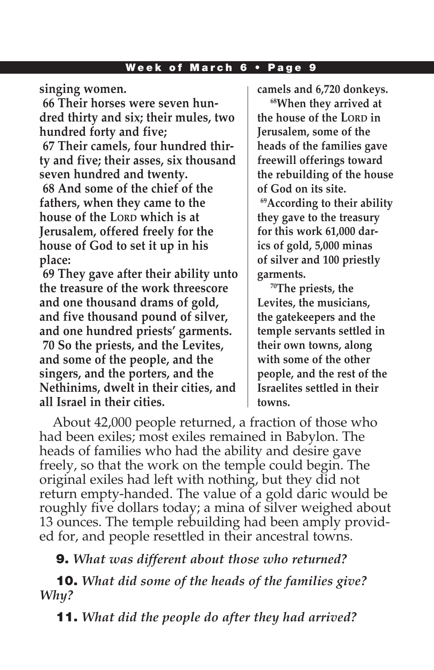**singing women.**

**66 Their horses were seven hundred thirty and six; their mules, two hundred forty and five;**

**67 Their camels, four hundred thirty and five; their asses, six thousand seven hundred and twenty. 68 And some of the chief of the fathers, when they came to the house of the LORD which is at Jerusalem, offered freely for the house of God to set it up in his place:**

**69 They gave after their ability unto the treasure of the work threescore and one thousand drams of gold, and five thousand pound of silver, and one hundred priests' garments. 70 So the priests, and the Levites, and some of the people, and the singers, and the porters, and the Nethinims, dwelt in their cities, and all Israel in their cities.**

**camels and 6,720 donkeys.**

**68When they arrived at the house of the LORD in Jerusalem, some of the heads of the families gave freewill offerings toward the rebuilding of the house of God on its site.** 

**69According to their ability they gave to the treasury for this work 61,000 darics of gold, 5,000 minas of silver and 100 priestly garments.**

**70The priests, the Levites, the musicians, the gatekeepers and the temple servants settled in their own towns, along with some of the other people, and the rest of the Israelites settled in their towns.**

About 42,000 people returned, a fraction of those who had been exiles; most exiles remained in Babylon. The heads of families who had the ability and desire gave freely, so that the work on the temple could begin. The original exiles had left with nothing, but they did not return empty-handed. The value of a gold daric would be roughly five dollars today; a mina of silver weighed about 13 ounces. The temple rebuilding had been amply provided for, and people resettled in their ancestral towns.

9. *What was different about those who returned?*

10. *What did some of the heads of the families give? Why?*

11. *What did the people do after they had arrived?*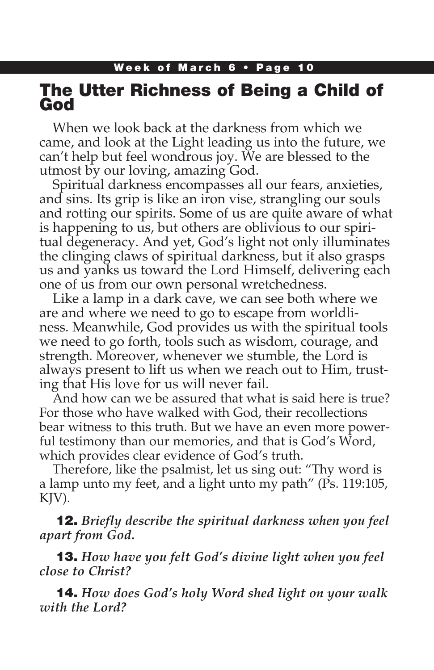## The Utter Richness of Being a Child of God

When we look back at the darkness from which we came, and look at the Light leading us into the future, we can't help but feel wondrous joy. We are blessed to the utmost by our loving, amazing God.

Spiritual darkness encompasses all our fears, anxieties, and sins. Its grip is like an iron vise, strangling our souls and rotting our spirits. Some of us are quite aware of what is happening to us, but others are oblivious to our spiritual degeneracy. And yet, God's light not only illuminates the clinging claws of spiritual darkness, but it also grasps us and yanks us toward the Lord Himself, delivering each one of us from our own personal wretchedness.

Like a lamp in a dark cave, we can see both where we are and where we need to go to escape from worldliness. Meanwhile, God provides us with the spiritual tools we need to go forth, tools such as wisdom, courage, and strength. Moreover, whenever we stumble, the Lord is always present to lift us when we reach out to Him, trusting that His love for us will never fail.

And how can we be assured that what is said here is true? For those who have walked with God, their recollections bear witness to this truth. But we have an even more powerful testimony than our memories, and that is God's Word, which provides clear evidence of God's truth.

Therefore, like the psalmist, let us sing out: "Thy word is a lamp unto my feet, and a light unto my path" (Ps. 119:105, KJV).

12. *Briefly describe the spiritual darkness when you feel apart from God.*

13. *How have you felt God's divine light when you feel close to Christ?*

14. *How does God's holy Word shed light on your walk with the Lord?*